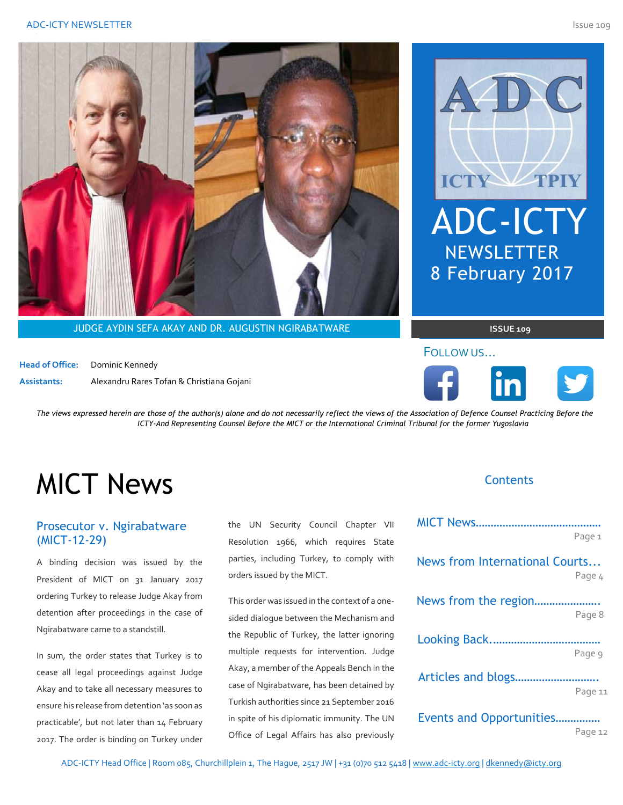



**JUDGE AYDIN SEFA AKAY AND DR. AUGUSTIN NGIRABATWARE** 

**Head of Office:** Dominic Kennedy **Assistants:** Alexandru Rares Tofan & Christiana Gojani



 $ISSUE$  109 from the document or use this space to emphasize a

#### FOLLOW US... page it.



*The views expressed herein are those of the author(s) alone and do not necessarily reflect the views of the Association of Defence Counsel Practicing Before the ICTY-And Representing Counsel Before the MICT or the International Criminal Tribunal for the former Yugoslavia* 

# MICT News

# Prosecutor v. Ngirabatware (MICT-12-29)

A binding decision was issued by the President of MICT on 31 January 2017 ordering Turkey to release Judge Akay from detention after proceedings in the case of Ngirabatware came to a standstill.

In sum, the order states that Turkey is to cease all legal proceedings against Judge Akay and to take all necessary measures to ensure his release from detention 'as soon as practicable', but not later than 14 February 2017. The order is binding on Turkey under the UN Security Council Chapter VII Resolution 1966, which requires State parties, including Turkey, to comply with orders issued by the MICT.

This order was issued in the context of a onesided dialogue between the Mechanism and the Republic of Turkey, the latter ignoring multiple requests for intervention. Judge Akay, a member of the Appeals Bench in the case of Ngirabatware, has been detained by Turkish authorities since 21 September 2016 in spite of his diplomatic immunity. The UN Office of Legal Affairs has also previously

### **Contents**

|                                | Page 1  |
|--------------------------------|---------|
| News from International Courts | Page 4  |
| News from the region           | Page 8  |
|                                | Page 9  |
|                                | Page 11 |
| Events and Opportunities       | Page 12 |

ADC-ICTY Head Office | Room 085, Churchillplein 1, The Hague, 2517 JW | +31 (0)70 512 5418 [| www.adc-icty.org](http://www.adc-icty.org/) | [dkennedy@icty.org](mailto:dkennedy@icty.org)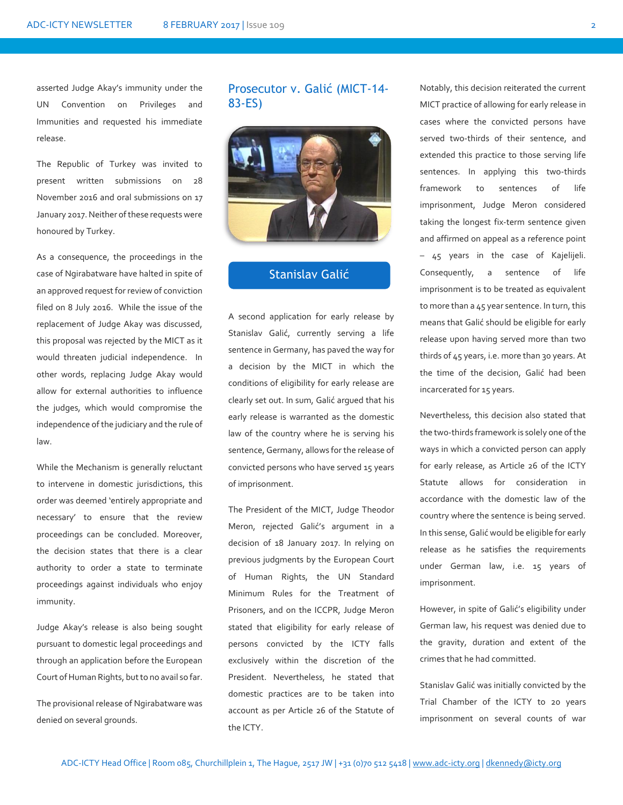asserted Judge Akay's immunity under the UN Convention on Privileges and Immunities and requested his immediate release.

The Republic of Turkey was invited to present written submissions on 28 November 2016 and oral submissions on 17 January 2017. Neither of these requests were honoured by Turkey.

As a consequence, the proceedings in the case of Ngirabatware have halted in spite of an approved request for review of conviction filed on 8 July 2016. While the issue of the replacement of Judge Akay was discussed, this proposal was rejected by the MICT as it would threaten judicial independence. In other words, replacing Judge Akay would allow for external authorities to influence the judges, which would compromise the independence of the judiciary and the rule of law.

While the Mechanism is generally reluctant to intervene in domestic jurisdictions, this order was deemed 'entirely appropriate and necessary' to ensure that the review proceedings can be concluded. Moreover, the decision states that there is a clear authority to order a state to terminate proceedings against individuals who enjoy immunity.

Judge Akay's release is also being sought pursuant to domestic legal proceedings and through an application before the European Court of Human Rights, but to no avail so far.

The provisional release of Ngirabatware was denied on several grounds.

# Prosecutor v. Galić (MICT-14- 83-ES)



# Stanislav Galić

A second application for early release by Stanislav Galić, currently serving a life sentence in Germany, has paved the way for a decision by the MICT in which the conditions of eligibility for early release are clearly set out. In sum, Galić argued that his early release is warranted as the domestic law of the country where he is serving his sentence, Germany, allows for the release of convicted persons who have served 15 years of imprisonment.

The President of the MICT, Judge Theodor Meron, rejected Galić's argument in a decision of 18 January 2017. In relying on previous judgments by the European Court of Human Rights, the UN Standard Minimum Rules for the Treatment of Prisoners, and on the ICCPR, Judge Meron stated that eligibility for early release of persons convicted by the ICTY falls exclusively within the discretion of the President. Nevertheless, he stated that domestic practices are to be taken into account as per Article 26 of the Statute of the ICTY.

Notably, this decision reiterated the current MICT practice of allowing for early release in cases where the convicted persons have served two-thirds of their sentence, and extended this practice to those serving life sentences. In applying this two-thirds framework to sentences of life imprisonment, Judge Meron considered taking the longest fix-term sentence given and affirmed on appeal as a reference point – 45 years in the case of Kajelijeli. Consequently, a sentence of life imprisonment is to be treated as equivalent to more than a 45 year sentence. In turn, this means that Galić should be eligible for early release upon having served more than two thirds of 45 years, i.e. more than 30 years. At the time of the decision, Galić had been incarcerated for 15 years.

Nevertheless, this decision also stated that the two-thirds framework is solely one of the ways in which a convicted person can apply for early release, as Article 26 of the ICTY Statute allows for consideration in accordance with the domestic law of the country where the sentence is being served. In this sense, Galić would be eligible for early release as he satisfies the requirements under German law, i.e. 15 years of imprisonment.

However, in spite of Galić's eligibility under German law, his request was denied due to the gravity, duration and extent of the crimes that he had committed.

Stanislav Galić was initially convicted by the Trial Chamber of the ICTY to 20 years imprisonment on several counts of war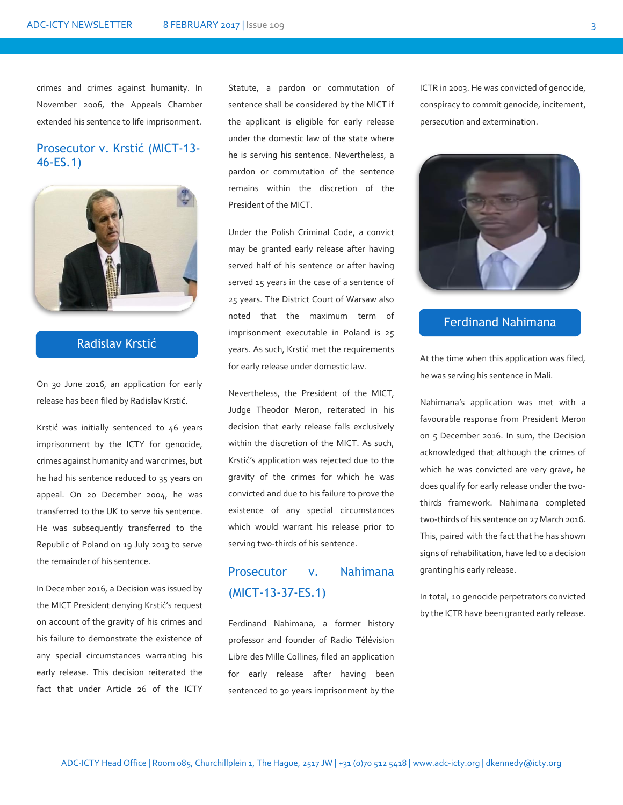crimes and crimes against humanity. In November 2006, the Appeals Chamber extended his sentence to life imprisonment.

## Prosecutor v. Krstić (MICT-13- 46-ES.1)



# Radislav Krstić

On 30 June 2016, an application for early release has been filed by Radislav Krstić.

Krstić was initially sentenced to 46 years imprisonment by the ICTY for genocide, crimes against humanity and war crimes, but he had his sentence reduced to 35 years on appeal. On 20 December 2004, he was transferred to the UK to serve his sentence. He was subsequently transferred to the Republic of Poland on 19 July 2013 to serve the remainder of his sentence.

In December 2016, a Decision was issued by the MICT President denying Krstić's request on account of the gravity of his crimes and his failure to demonstrate the existence of any special circumstances warranting his early release. This decision reiterated the fact that under Article 26 of the ICTY

Statute, a pardon or commutation of sentence shall be considered by the MICT if the applicant is eligible for early release under the domestic law of the state where he is serving his sentence. Nevertheless, a pardon or commutation of the sentence remains within the discretion of the President of the MICT.

Under the Polish Criminal Code, a convict may be granted early release after having served half of his sentence or after having served 15 years in the case of a sentence of 25 years. The District Court of Warsaw also noted that the maximum term of imprisonment executable in Poland is 25 years. As such, Krstić met the requirements for early release under domestic law.

Nevertheless, the President of the MICT, Judge Theodor Meron, reiterated in his decision that early release falls exclusively within the discretion of the MICT. As such, Krstić's application was rejected due to the gravity of the crimes for which he was convicted and due to his failure to prove the existence of any special circumstances which would warrant his release prior to serving two-thirds of his sentence.

# Prosecutor v. Nahimana (MICT-13-37-ES.1)

Ferdinand Nahimana, a former history professor and founder of Radio Télévision Libre des Mille Collines, filed an application for early release after having been sentenced to 30 years imprisonment by the ICTR in 2003. He was convicted of genocide, conspiracy to commit genocide, incitement, persecution and extermination.



# Ferdinand Nahimana

At the time when this application was filed, he was serving his sentence in Mali.

Nahimana's application was met with a favourable response from President Meron on 5 December 2016. In sum, the Decision acknowledged that although the crimes of which he was convicted are very grave, he does qualify for early release under the twothirds framework. Nahimana completed two-thirds of his sentence on 27 March 2016. This, paired with the fact that he has shown signs of rehabilitation, have led to a decision granting his early release.

In total, 10 genocide perpetrators convicted by the ICTR have been granted early release.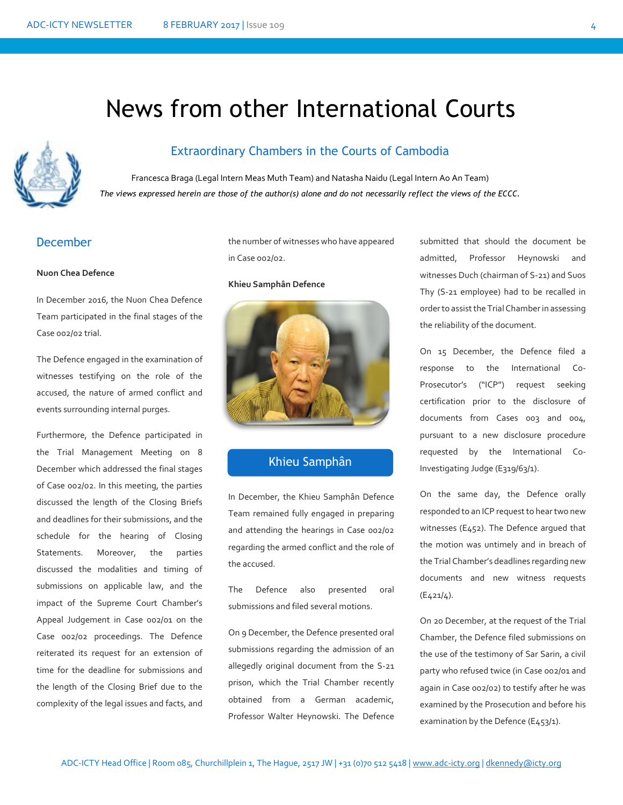# News from other International Courts



# Extraordinary Chambers in the Courts of Cambodia

Francesca Braga (Legal Intern Meas Muth Team) and Natasha Naidu (Legal Intern Ao An Team) *The views expressed herein are those of the author(s) alone and do not necessarily reflect the views of the ECCC.*

### December

#### **Nuon Chea Defence**

In December 2016, the Nuon Chea Defence Team participated in the final stages of the Case 002/02 trial.

The Defence engaged in the examination of witnesses testifying on the role of the accused, the nature of armed conflict and events surrounding internal purges.

Furthermore, the Defence participated in the Trial Management Meeting on 8 December which addressed the final stages of Case 002/02. In this meeting, the parties discussed the length of the Closing Briefs and deadlines for their submissions, and the schedule for the hearing of Closing Statements. Moreover, the parties discussed the modalities and timing of submissions on applicable law, and the impact of the Supreme Court Chamber's Appeal Judgement in Case 002/01 on the Case 002/02 proceedings. The Defence reiterated its request for an extension of time for the deadline for submissions and the length of the Closing Brief due to the complexity of the legal issues and facts, and the number of witnesses who have appeared in Case 002/02.

#### **Khieu Samphân Defence**



### Khieu Samphân

In December, the Khieu Samphân Defence Team remained fully engaged in preparing and attending the hearings in Case 002/02 regarding the armed conflict and the role of the accused.

The Defence also presented oral submissions and filed several motions.

On 9 December, the Defence presented oral submissions regarding the admission of an allegedly original document from the S-21 prison, which the Trial Chamber recently obtained from a German academic, Professor Walter Heynowski. The Defence

submitted that should the document be admitted, Professor Heynowski and witnesses Duch (chairman of S-21) and Suos Thy (S-21 employee) had to be recalled in order to assist the Trial Chamber in assessing the reliability of the document.

On 15 December, the Defence filed a response to the International Co-Prosecutor's ("ICP") request seeking certification prior to the disclosure of documents from Cases 003 and 004, pursuant to a new disclosure procedure requested by the International Co-Investigating Judge (E319/63/1).

On the same day, the Defence orally responded to an ICP request to hear two new witnesses (E452). The Defence argued that the motion was untimely and in breach of the Trial Chamber's deadlines regarding new documents and new witness requests (E421/4).

On 20 December, at the request of the Trial Chamber, the Defence filed submissions on the use of the testimony of Sar Sarin, a civil party who refused twice (in Case 002/01 and again in Case 002/02) to testify after he was examined by the Prosecution and before his examination by the Defence (E453/1).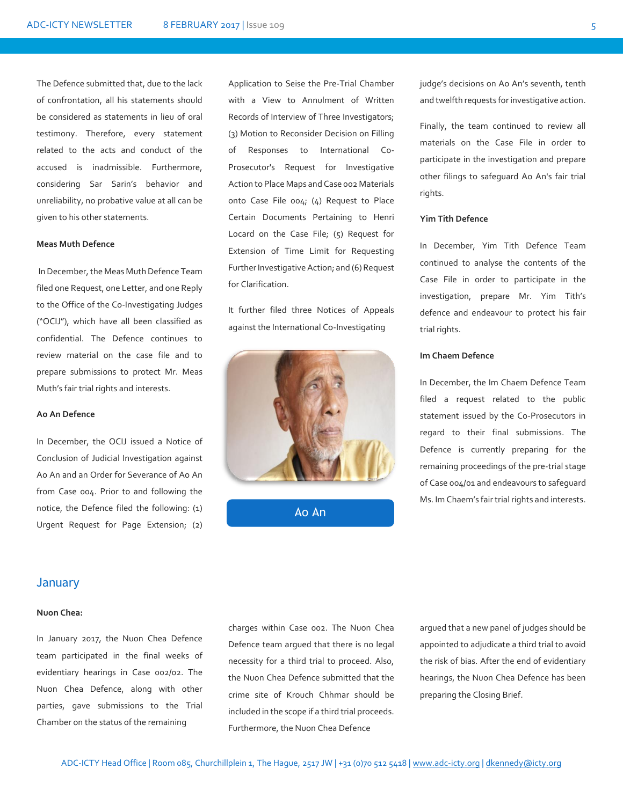The Defence submitted that, due to the lack of confrontation, all his statements should be considered as statements in lieu of oral testimony. Therefore, every statement related to the acts and conduct of the accused is inadmissible. Furthermore, considering Sar Sarin's behavior and unreliability, no probative value at all can be given to his other statements.

#### **Meas Muth Defence**

In December, the Meas Muth Defence Team filed one Request, one Letter, and one Reply to the Office of the Co-Investigating Judges ("OCIJ"), which have all been classified as confidential. The Defence continues to review material on the case file and to prepare submissions to protect Mr. Meas Muth's fair trial rights and interests.

#### **Ao An Defence**

In December, the OCIJ issued a Notice of Conclusion of Judicial Investigation against Ao An and an Order for Severance of Ao An from Case 004. Prior to and following the notice, the Defence filed the following: (1) Urgent Request for Page Extension; (2)

Application to Seise the Pre-Trial Chamber with a View to Annulment of Written Records of Interview of Three Investigators; (3) Motion to Reconsider Decision on Filling of Responses to International Co-Prosecutor's Request for Investigative Action to Place Maps and Case 002 Materials onto Case File 004; (4) Request to Place Certain Documents Pertaining to Henri Locard on the Case File; (5) Request for Extension of Time Limit for Requesting Further Investigative Action; and (6) Request for Clarification.

It further filed three Notices of Appeals against the International Co-Investigating



Ao An

judge's decisions on Ao An's seventh, tenth and twelfth requests for investigative action.

Finally, the team continued to review all materials on the Case File in order to participate in the investigation and prepare other filings to safeguard Ao An's fair trial rights.

#### **Yim Tith Defence**

In December, Yim Tith Defence Team continued to analyse the contents of the Case File in order to participate in the investigation, prepare Mr. Yim Tith's defence and endeavour to protect his fair trial rights.

#### **Im Chaem Defence**

In December, the Im Chaem Defence Team filed a request related to the public statement issued by the Co-Prosecutors in regard to their final submissions. The Defence is currently preparing for the remaining proceedings of the pre-trial stage of Case 004/01 and endeavours to safeguard Ms. Im Chaem's fair trial rights and interests.

#### **January**

#### **Nuon Chea:**

In January 2017, the Nuon Chea Defence team participated in the final weeks of evidentiary hearings in Case 002/02. The Nuon Chea Defence, along with other parties, gave submissions to the Trial Chamber on the status of the remaining

charges within Case 002. The Nuon Chea Defence team argued that there is no legal necessity for a third trial to proceed. Also, the Nuon Chea Defence submitted that the crime site of Krouch Chhmar should be included in the scope if a third trial proceeds. Furthermore, the Nuon Chea Defence

argued that a new panel of judges should be appointed to adjudicate a third trial to avoid the risk of bias. After the end of evidentiary hearings, the Nuon Chea Defence has been preparing the Closing Brief.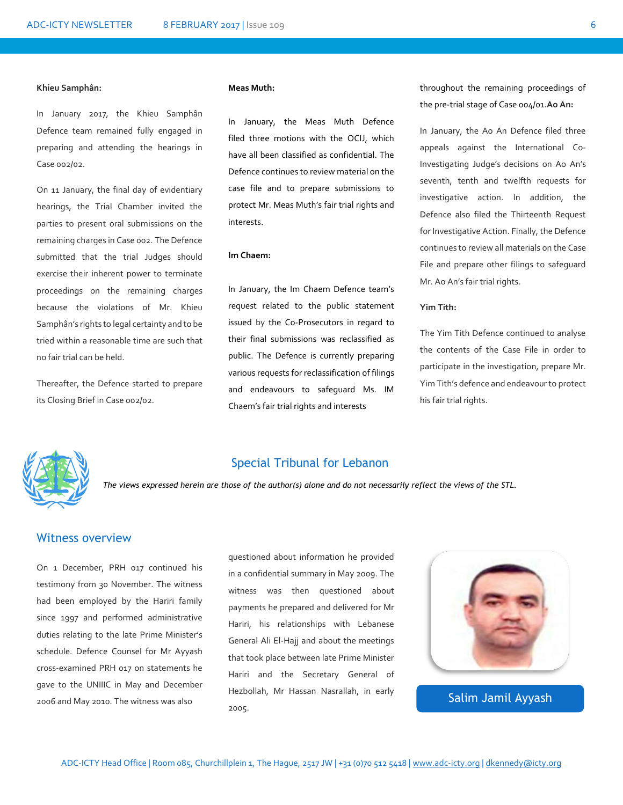#### **Khieu Samphân:**

In January 2017, the Khieu Samphân Defence team remained fully engaged in preparing and attending the hearings in Case 002/02.

On 11 January, the final day of evidentiary hearings, the Trial Chamber invited the parties to present oral submissions on the remaining charges in Case 002. The Defence submitted that the trial Judges should exercise their inherent power to terminate proceedings on the remaining charges because the violations of Mr. Khieu Samphân's rights to legal certainty and to be tried within a reasonable time are such that no fair trial can be held.

Thereafter, the Defence started to prepare its Closing Brief in Case 002/02.

#### **Meas Muth:**

In January, the Meas Muth Defence filed three motions with the OCIJ, which have all been classified as confidential. The Defence continues to review material on the case file and to prepare submissions to protect Mr. Meas Muth's fair trial rights and interests.

#### **Im Chaem:**

In January, the Im Chaem Defence team's request related to the public statement issued by the Co-Prosecutors in regard to their final submissions was reclassified as public. The Defence is currently preparing various requests for reclassification of filings and endeavours to safeguard Ms. IM Chaem's fair trial rights and interests

throughout the remaining proceedings of the pre-trial stage of Case 004/01.**Ao An:** 

In January, the Ao An Defence filed three appeals against the International Co-Investigating Judge's decisions on Ao An's seventh, tenth and twelfth requests for investigative action. In addition, the Defence also filed the Thirteenth Request for Investigative Action. Finally, the Defence continues to review all materials on the Case File and prepare other filings to safeguard Mr. Ao An's fair trial rights.

#### **Yim Tith:**

The Yim Tith Defence continued to analyse the contents of the Case File in order to participate in the investigation, prepare Mr. Yim Tith's defence and endeavour to protect his fair trial rights.



#### Special Tribunal for Lebanon

*The views expressed herein are those of the author(s) alone and do not necessarily reflect the views of the STL.*

#### Witness overview

On 1 December, PRH 017 continued his testimony from 30 November. The witness had been employed by the Hariri family since 1997 and performed administrative duties relating to the late Prime Minister's schedule. Defence Counsel for Mr Ayyash cross-examined PRH 017 on statements he gave to the UNIIIC in May and December 2006 and May 2010. The witness was also

questioned about information he provided in a confidential summary in May 2009. The witness was then questioned about payments he prepared and delivered for Mr Hariri, his relationships with Lebanese General Ali El-Hajj and about the meetings that took place between late Prime Minister Hariri and the Secretary General of Hezbollah, Mr Hassan Nasrallah, in early 2005.



Salim Jamil Ayyash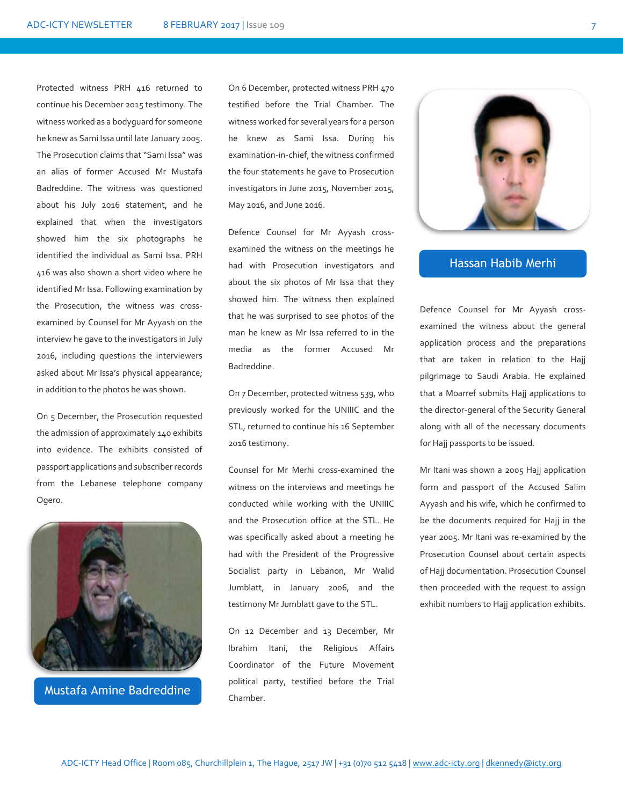Protected witness PRH 416 returned to continue his December 2015 testimony. The witness worked as a bodyguard for someone he knew as Sami Issa until late January 2005. The Prosecution claims that "Sami Issa" was an alias of former Accused Mr Mustafa Badreddine. The witness was questioned about his July 2016 statement, and he explained that when the investigators showed him the six photographs he identified the individual as Sami Issa. PRH 416 was also shown a short video where he identified Mr Issa. Following examination by the Prosecution, the witness was crossexamined by Counsel for Mr Ayyash on the interview he gave to the investigators in July 2016, including questions the interviewers asked about Mr Issa's physical appearance; in addition to the photos he was shown.

On 5 December, the Prosecution requested the admission of approximately 140 exhibits into evidence. The exhibits consisted of passport applications and subscriber records from the Lebanese telephone company Ogero.



Mustafa Amine Badreddine

On 6 December, protected witness PRH 470 testified before the Trial Chamber. The witness worked for several years for a person he knew as Sami Issa. During his examination-in-chief, the witness confirmed the four statements he gave to Prosecution investigators in June 2015, November 2015, May 2016, and June 2016.

Defence Counsel for Mr Ayyash crossexamined the witness on the meetings he had with Prosecution investigators and about the six photos of Mr Issa that they showed him. The witness then explained that he was surprised to see photos of the man he knew as Mr Issa referred to in the media as the former Accused Mr Badreddine.

On 7 December, protected witness 539, who previously worked for the UNIIIC and the STL, returned to continue his 16 September 2016 testimony.

Counsel for Mr Merhi cross-examined the witness on the interviews and meetings he conducted while working with the UNIIIC and the Prosecution office at the STL. He was specifically asked about a meeting he had with the President of the Progressive Socialist party in Lebanon, Mr Walid Jumblatt, in January 2006, and the testimony Mr Jumblatt gave to the STL.

On 12 December and 13 December, Mr Ibrahim Itani, the Religious Affairs Coordinator of the Future Movement political party, testified before the Trial Chamber.



#### Hassan Habib Merhi

Defence Counsel for Mr Ayyash crossexamined the witness about the general application process and the preparations that are taken in relation to the Hajj pilgrimage to Saudi Arabia. He explained that a Moarref submits Hajj applications to the director-general of the Security General along with all of the necessary documents for Hajj passports to be issued.

Mr Itani was shown a 2005 Hajj application form and passport of the Accused Salim Ayyash and his wife, which he confirmed to be the documents required for Hajj in the year 2005. Mr Itani was re-examined by the Prosecution Counsel about certain aspects of Hajj documentation. Prosecution Counsel then proceeded with the request to assign exhibit numbers to Hajj application exhibits.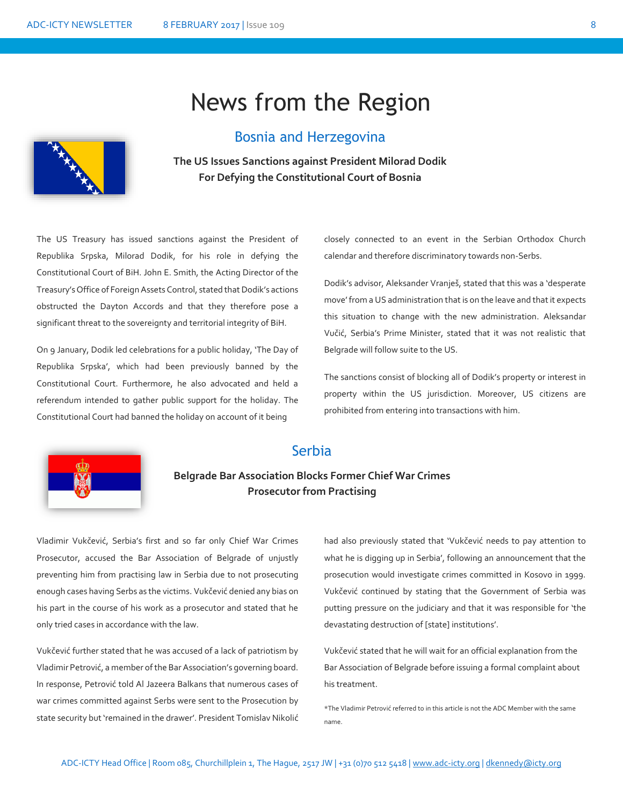# News from the Region





**The US Issues Sanctions against President Milorad Dodik For Defying the Constitutional Court of Bosnia**

The US Treasury has issued sanctions against the President of Republika Srpska, Milorad Dodik, for his role in defying the Constitutional Court of BiH. John E. Smith, the Acting Director of the Treasury's Office of Foreign Assets Control, stated that Dodik's actions obstructed the Dayton Accords and that they therefore pose a significant threat to the sovereignty and territorial integrity of BiH.

On 9 January, Dodik led celebrations for a public holiday, 'The Day of Republika Srpska', which had been previously banned by the Constitutional Court. Furthermore, he also advocated and held a referendum intended to gather public support for the holiday. The Constitutional Court had banned the holiday on account of it being

closely connected to an event in the Serbian Orthodox Church calendar and therefore discriminatory towards non-Serbs.

Dodik's advisor, Aleksander Vranješ, stated that this was a 'desperate move' from a US administration that is on the leave and that it expects this situation to change with the new administration. Aleksandar Vučić, Serbia's Prime Minister, stated that it was not realistic that Belgrade will follow suite to the US.

The sanctions consist of blocking all of Dodik's property or interest in property within the US jurisdiction. Moreover, US citizens are prohibited from entering into transactions with him.



# Serbia

# **Belgrade Bar Association Blocks Former Chief War Crimes Prosecutor from Practising**

Vladimir Vukčević, Serbia's first and so far only Chief War Crimes Prosecutor, accused the Bar Association of Belgrade of unjustly preventing him from practising law in Serbia due to not prosecuting enough cases having Serbs as the victims. Vukčević denied any bias on his part in the course of his work as a prosecutor and stated that he only tried cases in accordance with the law.

Vukčević further stated that he was accused of a lack of patriotism by Vladimir Petrović, a member of the Bar Association's governing board. In response, Petrović told Al Jazeera Balkans that numerous cases of war crimes committed against Serbs were sent to the Prosecution by state security but 'remained in the drawer'. President Tomislav Nikolić had also previously stated that 'Vukčević needs to pay attention to what he is digging up in Serbia', following an announcement that the prosecution would investigate crimes committed in Kosovo in 1999. Vukčević continued by stating that the Government of Serbia was putting pressure on the judiciary and that it was responsible for 'the devastating destruction of [state] institutions'.

Vukčević stated that he will wait for an official explanation from the Bar Association of Belgrade before issuing a formal complaint about his treatment.

\*The Vladimir Petrović referred to in this article is not the ADC Member with the same name.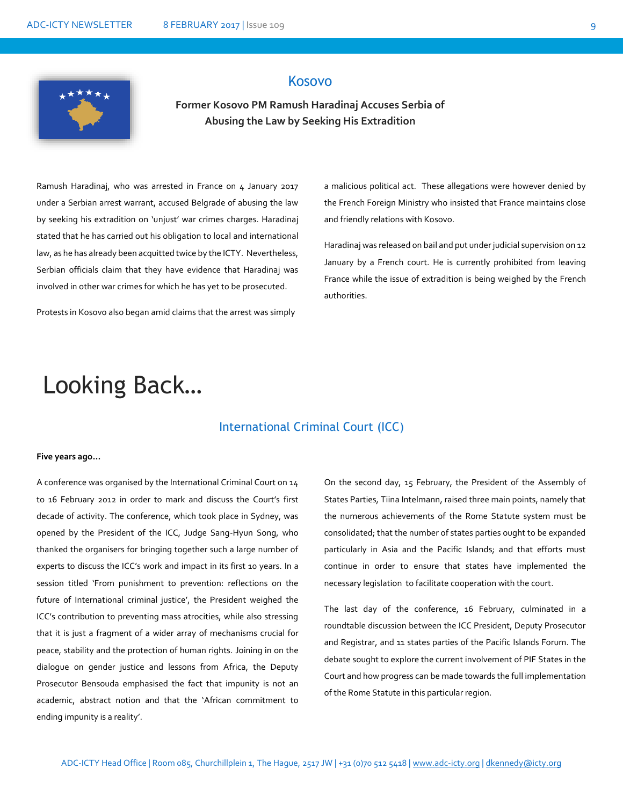

# Kosovo

## **Former Kosovo PM Ramush Haradinaj Accuses Serbia of Abusing the Law by Seeking His Extradition**

Ramush Haradinaj, who was arrested in France on 4 January 2017 under a Serbian arrest warrant, accused Belgrade of abusing the law by seeking his extradition on 'unjust' war crimes charges. Haradinaj stated that he has carried out his obligation to local and international law, as he has already been acquitted twice by the ICTY. Nevertheless, Serbian officials claim that they have evidence that Haradinaj was involved in other war crimes for which he has yet to be prosecuted.

Protests in Kosovo also began amid claims that the arrest was simply

a malicious political act. These allegations were however denied by the French Foreign Ministry who insisted that France maintains close and friendly relations with Kosovo.

Haradinaj was released on bail and put under judicial supervision on 12 January by a French court. He is currently prohibited from leaving France while the issue of extradition is being weighed by the French authorities.

# Looking Back…

#### International Criminal Court (ICC)

#### **Five years ago…**

A conference was organised by the International Criminal Court on 14 to 16 February 2012 in order to mark and discuss the Court's first decade of activity. The conference, which took place in Sydney, was opened by the President of the ICC, Judge Sang-Hyun Song, who thanked the organisers for bringing together such a large number of experts to discuss the ICC's work and impact in its first 10 years. In a session titled 'From punishment to prevention: reflections on the future of International criminal justice', the President weighed the ICC's contribution to preventing mass atrocities, while also stressing that it is just a fragment of a wider array of mechanisms crucial for peace, stability and the protection of human rights. Joining in on the dialogue on gender justice and lessons from Africa, the Deputy Prosecutor Bensouda emphasised the fact that impunity is not an academic, abstract notion and that the 'African commitment to ending impunity is a reality'.

On the second day, 15 February, the President of the Assembly of States Parties, Tiina Intelmann, raised three main points, namely that the numerous achievements of the Rome Statute system must be consolidated; that the number of states parties ought to be expanded particularly in Asia and the Pacific Islands; and that efforts must continue in order to ensure that states have implemented the necessary legislation to facilitate cooperation with the court.

The last day of the conference, 16 February, culminated in a roundtable discussion between the ICC President, Deputy Prosecutor and Registrar, and 11 states parties of the Pacific Islands Forum. The debate sought to explore the current involvement of PIF States in the Court and how progress can be made towards the full implementation of the Rome Statute in this particular region.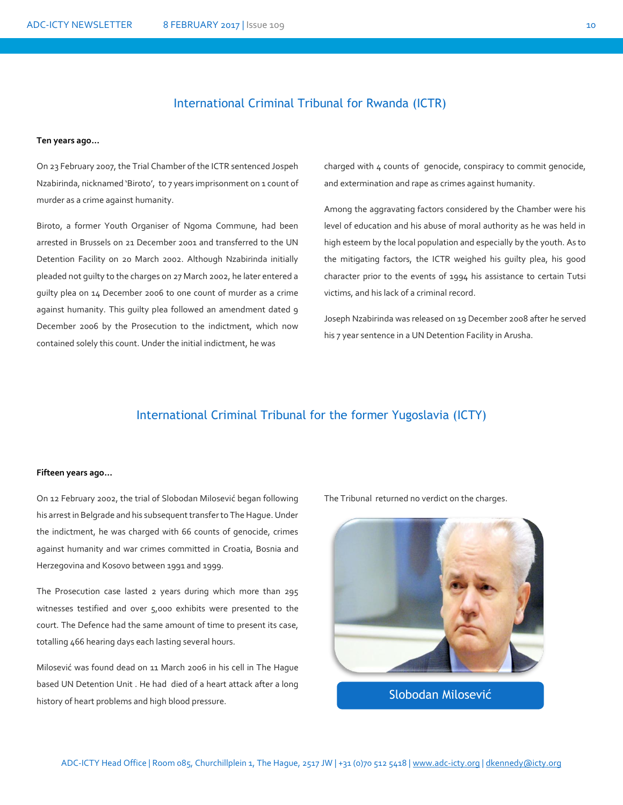### International Criminal Tribunal for Rwanda (ICTR)

#### **Ten years ago…**

On 23 February 2007, the Trial Chamber of the ICTR sentenced Jospeh Nzabirinda, nicknamed 'Biroto', to 7 years imprisonment on 1 count of murder as a crime against humanity.

Biroto, a former Youth Organiser of Ngoma Commune, had been arrested in Brussels on 21 December 2001 and transferred to the UN Detention Facility on 20 March 2002. Although Nzabirinda initially pleaded not guilty to the charges on 27 March 2002, he later entered a guilty plea on 14 December 2006 to one count of murder as a crime against humanity. This guilty plea followed an amendment dated 9 December 2006 by the Prosecution to the indictment, which now contained solely this count. Under the initial indictment, he was

charged with 4 counts of genocide, conspiracy to commit genocide, and extermination and rape as crimes against humanity.

Among the aggravating factors considered by the Chamber were his level of education and his abuse of moral authority as he was held in high esteem by the local population and especially by the youth. As to the mitigating factors, the ICTR weighed his guilty plea, his good character prior to the events of 1994 his assistance to certain Tutsi victims, and his lack of a criminal record.

Joseph Nzabirinda was released on 19 December 2008 after he served his 7 year sentence in a UN Detention Facility in Arusha.

## International Criminal Tribunal for the former Yugoslavia (ICTY)

#### **Fifteen years ago…**

On 12 February 2002, the trial of Slobodan Milosević began following his arrest in Belgrade and his subsequent transfer to The Hague. Under the indictment, he was charged with 66 counts of genocide, crimes against humanity and war crimes committed in Croatia, Bosnia and Herzegovina and Kosovo between 1991 and 1999.

The Prosecution case lasted 2 years during which more than 295 witnesses testified and over 5,000 exhibits were presented to the court. The Defence had the same amount of time to present its case, totalling 466 hearing days each lasting several hours.

Milosević was found dead on 11 March 2006 in his cell in The Hague based UN Detention Unit . He had died of a heart attack after a long history of heart problems and high blood pressure.

The Tribunal returned no verdict on the charges.



Slobodan Milosević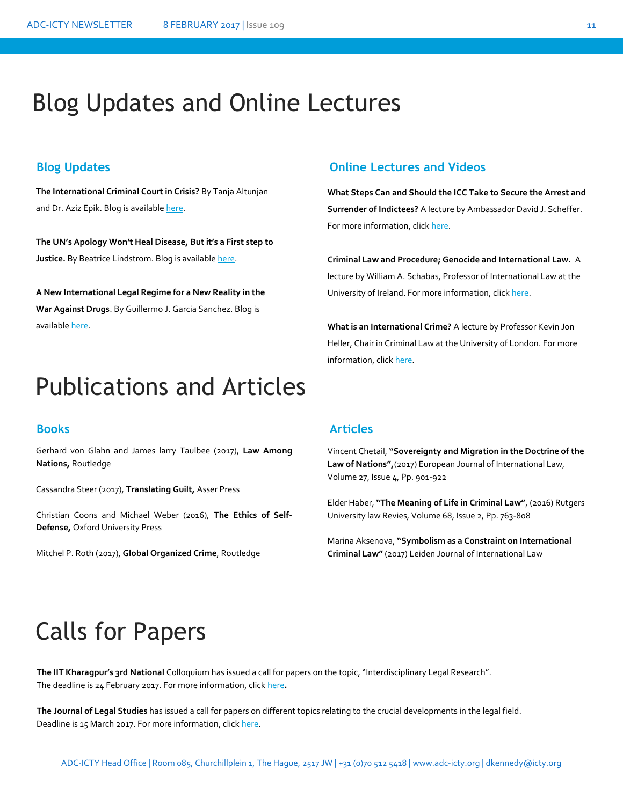# Blog Updates and Online Lectures

**The International Criminal Court in Crisis?** By Tanja Altunjan and Dr. Aziz Epik. Blog is available [here.](http://www.internationallawobserver.eu/2017/01/17/tanja-altunjan-and-aziz-epik-the-international-criminal-court-in-crisis/)

**The UN's Apology Won't Heal Disease, But it's a First step to Justice.** By Beatrice Lindstrom. Blog is availabl[e here.](http://opiniojuris.org/2017/01/02/the-uns-apology-wont-heal-disease-but-its-a-first-step-to-justice/)

**A New International Legal Regime for a New Reality in the War Against Drugs**. By Guillermo J. Garcia Sanchez. Blog is availabl[e here.](http://www.harvardilj.org/2017/01/a-new-international-legal-regime-for-a-new-reality-in-the-war-against-drugs/)

# **Blog Updates Online Lectures and Videos**

**What Steps Can and Should the ICC Take to Secure the Arrest and Surrender of Indictees?** A lecture by Ambassador David J. Scheffer. For more information, clic[k here.](http://shrei.stanford.edu/node/449)

**Criminal Law and Procedure; Genocide and International Law.** A lecture by William A. Schabas, Professor of International Law at the University of Ireland. For more information, clic[k here.](http://legal.un.org/avl/ls/Schabas_CLP.html)

**What is an International Crime?** A lecture by Professor Kevin Jon Heller, Chair in Criminal Law at the University of London. For more information, clic[k here.](https://podcasts.ox.ac.uk/what-international-crime-revisionist-history)

# Publications and Articles

Gerhard von Glahn and James larry Taulbee (2017), **Law Among Nations,** Routledge

Cassandra Steer (2017), **Translating Guilt,** Asser Press

Christian Coons and Michael Weber (2016), **The Ethics of Self-Defense,** Oxford University Press

Mitchel P. Roth (2017), **Global Organized Crime**, Routledge

### **Books Articles**

Vincent Chetail, **"Sovereignty and Migration in the Doctrine of the Law of Nations",**(2017) European Journal of International Law, Volume 27, Issue 4, Pp. 901-922

Elder Haber, **"The Meaning of Life in Criminal Law"**, (2016) Rutgers University law Revies, Volume 68, Issue 2, Pp. 763-808

Marina Aksenova, **"Symbolism as a Constraint on International Criminal Law"** (2017) Leiden Journal of International Law

# Calls for Papers

The IIT Kharagpur's 3rd National Colloquium has issued a call for papers on the topic, "Interdisciplinary Legal Research". The deadline is 24 February 2017. For more information, click [here](http://www.lawctopus.com/iit-kharagpurs-3rd-national-colloquium-on-interdisciplinary-legal-research/)**.**

**The Journal of Legal Studies** has issued a call for papers on different topics relating to the crucial developments in the legal field. Deadline is 15 March 2017. For more information, clic[k here.](http://www.lawctopus.com/call-for-papers-nlud-journal-of-legal-studies-volume-1/)